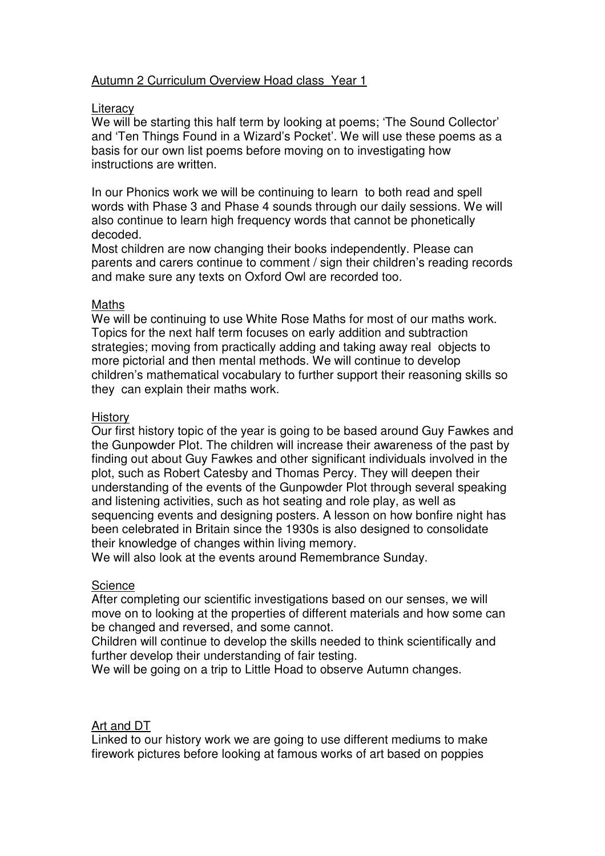# Autumn 2 Curriculum Overview Hoad class Year 1

#### **Literacy**

We will be starting this half term by looking at poems; 'The Sound Collector' and 'Ten Things Found in a Wizard's Pocket'. We will use these poems as a basis for our own list poems before moving on to investigating how instructions are written.

In our Phonics work we will be continuing to learn to both read and spell words with Phase 3 and Phase 4 sounds through our daily sessions. We will also continue to learn high frequency words that cannot be phonetically decoded.

Most children are now changing their books independently. Please can parents and carers continue to comment / sign their children's reading records and make sure any texts on Oxford Owl are recorded too.

#### Maths

We will be continuing to use White Rose Maths for most of our maths work. Topics for the next half term focuses on early addition and subtraction strategies; moving from practically adding and taking away real objects to more pictorial and then mental methods. We will continue to develop children's mathematical vocabulary to further support their reasoning skills so they can explain their maths work.

#### **History**

Our first history topic of the year is going to be based around Guy Fawkes and the Gunpowder Plot. The children will increase their awareness of the past by finding out about Guy Fawkes and other significant individuals involved in the plot, such as Robert Catesby and Thomas Percy. They will deepen their understanding of the events of the Gunpowder Plot through several speaking and listening activities, such as hot seating and role play, as well as sequencing events and designing posters. A lesson on how bonfire night has been celebrated in Britain since the 1930s is also designed to consolidate their knowledge of changes within living memory.

We will also look at the events around Remembrance Sunday.

# **Science**

After completing our scientific investigations based on our senses, we will move on to looking at the properties of different materials and how some can be changed and reversed, and some cannot.

Children will continue to develop the skills needed to think scientifically and further develop their understanding of fair testing.

We will be going on a trip to Little Hoad to observe Autumn changes.

# Art and DT

Linked to our history work we are going to use different mediums to make firework pictures before looking at famous works of art based on poppies